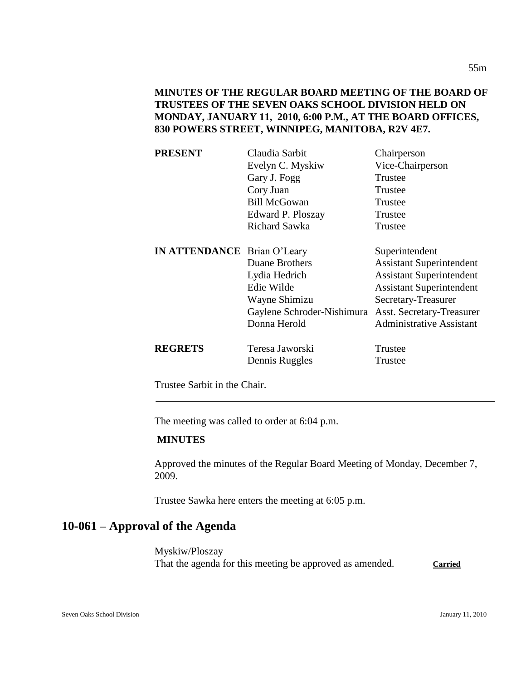**MINUTES OF THE REGULAR BOARD MEETING OF THE BOARD OF TRUSTEES OF THE SEVEN OAKS SCHOOL DIVISION HELD ON MONDAY, JANUARY 11, 2010, 6:00 P.M., AT THE BOARD OFFICES, 830 POWERS STREET, WINNIPEG, MANITOBA, R2V 4E7.**

| <b>PRESENT</b>                     | Claudia Sarbit             | Chairperson                     |
|------------------------------------|----------------------------|---------------------------------|
|                                    | Evelyn C. Myskiw           | Vice-Chairperson                |
|                                    | Gary J. Fogg               | Trustee                         |
|                                    | Cory Juan                  | Trustee                         |
|                                    | <b>Bill McGowan</b>        | Trustee                         |
|                                    | Edward P. Ploszay          | Trustee                         |
|                                    | <b>Richard Sawka</b>       | Trustee                         |
| <b>IN ATTENDANCE</b> Brian O'Leary |                            | Superintendent                  |
|                                    | Duane Brothers             | <b>Assistant Superintendent</b> |
|                                    | Lydia Hedrich              | <b>Assistant Superintendent</b> |
|                                    | Edie Wilde                 | <b>Assistant Superintendent</b> |
|                                    | Wayne Shimizu              | Secretary-Treasurer             |
|                                    | Gaylene Schroder-Nishimura | Asst. Secretary-Treasurer       |
|                                    | Donna Herold               | <b>Administrative Assistant</b> |
| <b>REGRETS</b>                     | Teresa Jaworski            | Trustee                         |
|                                    | Dennis Ruggles             | Trustee                         |
|                                    |                            |                                 |

Trustee Sarbit in the Chair.

The meeting was called to order at 6:04 p.m.

# **MINUTES**

Approved the minutes of the Regular Board Meeting of Monday, December 7, 2009.

Trustee Sawka here enters the meeting at 6:05 p.m.

# **10-061 – Approval of the Agenda**

Myskiw/Ploszay That the agenda for this meeting be approved as amended. **Carried**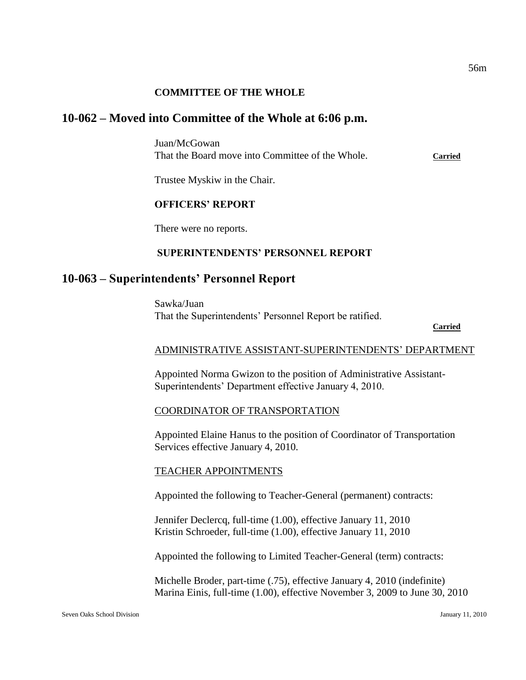### **COMMITTEE OF THE WHOLE**

# **10-062 – Moved into Committee of the Whole at 6:06 p.m.**

Juan/McGowan That the Board move into Committee of the Whole. **Carried**

Trustee Myskiw in the Chair.

#### **OFFICERS' REPORT**

There were no reports.

### **SUPERINTENDENTS' PERSONNEL REPORT**

# **10-063 – Superintendents' Personnel Report**

Sawka/Juan That the Superintendents' Personnel Report be ratified.

#### **Carried**

#### ADMINISTRATIVE ASSISTANT-SUPERINTENDENTS' DEPARTMENT

Appointed Norma Gwizon to the position of Administrative Assistant-Superintendents' Department effective January 4, 2010.

#### COORDINATOR OF TRANSPORTATION

Appointed Elaine Hanus to the position of Coordinator of Transportation Services effective January 4, 2010.

#### TEACHER APPOINTMENTS

Appointed the following to Teacher-General (permanent) contracts:

Jennifer Declercq, full-time (1.00), effective January 11, 2010 Kristin Schroeder, full-time (1.00), effective January 11, 2010

Appointed the following to Limited Teacher-General (term) contracts:

Michelle Broder, part-time (.75), effective January 4, 2010 (indefinite) Marina Einis, full-time (1.00), effective November 3, 2009 to June 30, 2010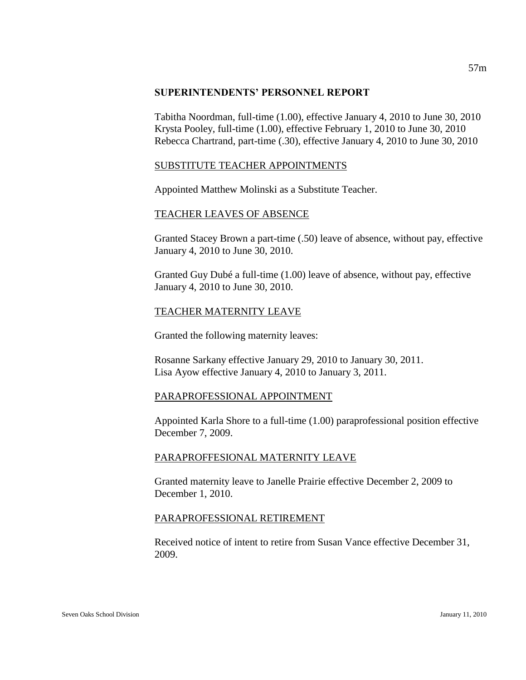### **SUPERINTENDENTS' PERSONNEL REPORT**

Tabitha Noordman, full-time (1.00), effective January 4, 2010 to June 30, 2010 Krysta Pooley, full-time (1.00), effective February 1, 2010 to June 30, 2010 Rebecca Chartrand, part-time (.30), effective January 4, 2010 to June 30, 2010

# SUBSTITUTE TEACHER APPOINTMENTS

Appointed Matthew Molinski as a Substitute Teacher.

### TEACHER LEAVES OF ABSENCE

Granted Stacey Brown a part-time (.50) leave of absence, without pay, effective January 4, 2010 to June 30, 2010.

Granted Guy Dubé a full-time (1.00) leave of absence, without pay, effective January 4, 2010 to June 30, 2010.

# TEACHER MATERNITY LEAVE

Granted the following maternity leaves:

Rosanne Sarkany effective January 29, 2010 to January 30, 2011. Lisa Ayow effective January 4, 2010 to January 3, 2011.

# PARAPROFESSIONAL APPOINTMENT

Appointed Karla Shore to a full-time (1.00) paraprofessional position effective December 7, 2009.

# PARAPROFFESIONAL MATERNITY LEAVE

Granted maternity leave to Janelle Prairie effective December 2, 2009 to December 1, 2010.

# PARAPROFESSIONAL RETIREMENT

Received notice of intent to retire from Susan Vance effective December 31, 2009.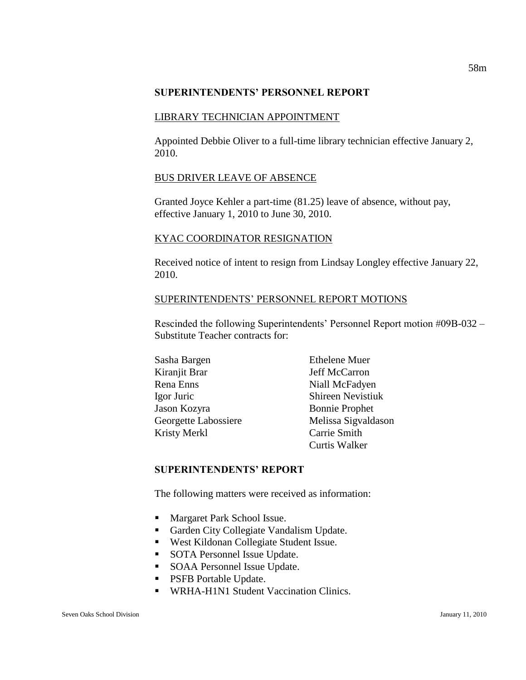### **SUPERINTENDENTS' PERSONNEL REPORT**

### LIBRARY TECHNICIAN APPOINTMENT

Appointed Debbie Oliver to a full-time library technician effective January 2, 2010.

# BUS DRIVER LEAVE OF ABSENCE

Granted Joyce Kehler a part-time (81.25) leave of absence, without pay, effective January 1, 2010 to June 30, 2010.

### KYAC COORDINATOR RESIGNATION

Received notice of intent to resign from Lindsay Longley effective January 22, 2010.

### SUPERINTENDENTS' PERSONNEL REPORT MOTIONS

Rescinded the following Superintendents' Personnel Report motion #09B-032 – Substitute Teacher contracts for:

| Sasha Bargen         | <b>Ethelene Muer</b>     |
|----------------------|--------------------------|
| Kiranjit Brar        | Jeff McCarron            |
| Rena Enns            | Niall McFadyen           |
| Igor Juric           | <b>Shireen Nevistiuk</b> |
| Jason Kozyra         | <b>Bonnie Prophet</b>    |
| Georgette Labossiere | Melissa Sigvaldason      |
| Kristy Merkl         | Carrie Smith             |
|                      | Curtis Walker            |

# **SUPERINTENDENTS' REPORT**

The following matters were received as information:

- **Margaret Park School Issue.**
- Garden City Collegiate Vandalism Update.
- West Kildonan Collegiate Student Issue.
- SOTA Personnel Issue Update.
- **SOAA Personnel Issue Update.**
- **PSFB Portable Update.**
- **WRHA-H1N1 Student Vaccination Clinics.**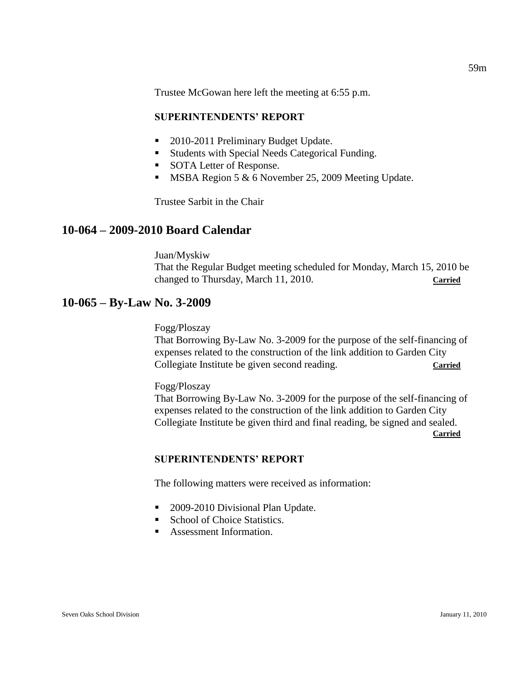Trustee McGowan here left the meeting at 6:55 p.m.

### **SUPERINTENDENTS' REPORT**

- 2010-2011 Preliminary Budget Update.
- Students with Special Needs Categorical Funding.
- SOTA Letter of Response.
- **MSBA Region 5 & 6 November 25, 2009 Meeting Update.**

Trustee Sarbit in the Chair

# **10-064 – 2009-2010 Board Calendar**

Juan/Myskiw That the Regular Budget meeting scheduled for Monday, March 15, 2010 be changed to Thursday, March 11, 2010. **Carried**

# **10-065 – By-Law No. 3-2009**

### Fogg/Ploszay

That Borrowing By-Law No. 3-2009 for the purpose of the self-financing of expenses related to the construction of the link addition to Garden City Collegiate Institute be given second reading. **Carried**

#### Fogg/Ploszay

That Borrowing By-Law No. 3-2009 for the purpose of the self-financing of expenses related to the construction of the link addition to Garden City Collegiate Institute be given third and final reading, be signed and sealed. **Carried**

# **SUPERINTENDENTS' REPORT**

The following matters were received as information:

- 2009-2010 Divisional Plan Update.
- School of Choice Statistics.
- **Assessment Information.**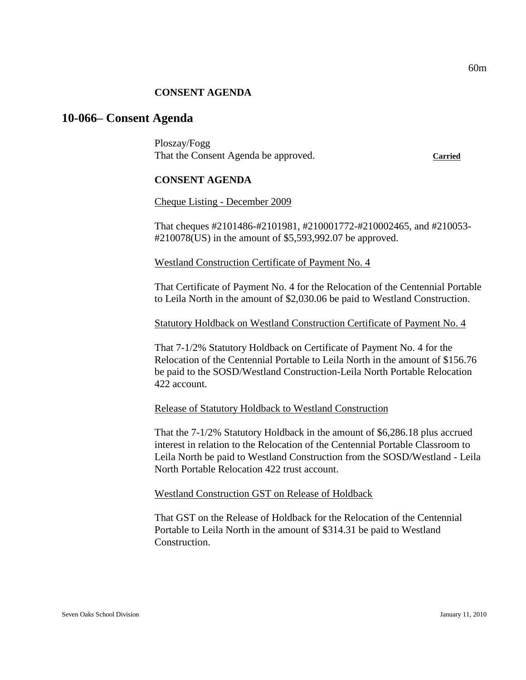### **CONSENT AGENDA**

# **10-066– Consent Agenda**

Ploszay/Fogg That the Consent Agenda be approved. **Carried**

### **CONSENT AGENDA**

Cheque Listing - December 2009

That cheques #2101486-#2101981, #210001772-#210002465, and #210053- #210078(US) in the amount of \$5,593,992.07 be approved.

Westland Construction Certificate of Payment No. 4

That Certificate of Payment No. 4 for the Relocation of the Centennial Portable to Leila North in the amount of \$2,030.06 be paid to Westland Construction.

### Statutory Holdback on Westland Construction Certificate of Payment No. 4

That 7-1/2% Statutory Holdback on Certificate of Payment No. 4 for the Relocation of the Centennial Portable to Leila North in the amount of \$156.76 be paid to the SOSD/Westland Construction-Leila North Portable Relocation 422 account.

### Release of Statutory Holdback to Westland Construction

That the 7-1/2% Statutory Holdback in the amount of \$6,286.18 plus accrued interest in relation to the Relocation of the Centennial Portable Classroom to Leila North be paid to Westland Construction from the SOSD/Westland - Leila North Portable Relocation 422 trust account.

Westland Construction GST on Release of Holdback

That GST on the Release of Holdback for the Relocation of the Centennial Portable to Leila North in the amount of \$314.31 be paid to Westland Construction.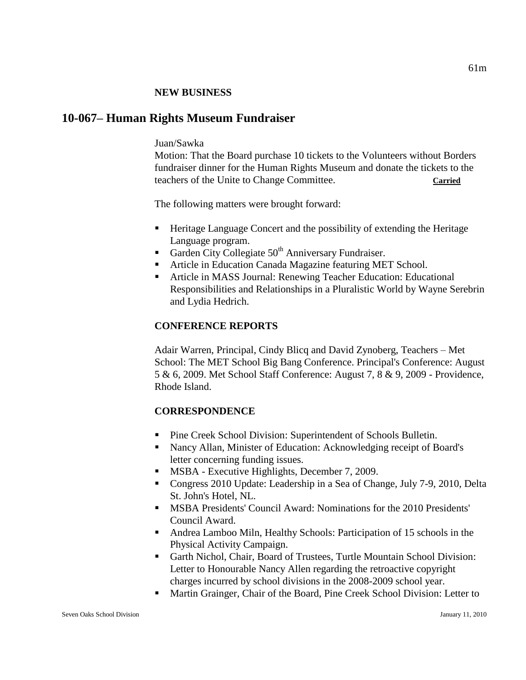### **NEW BUSINESS**

# **10-067– Human Rights Museum Fundraiser**

# Juan/Sawka

Motion: That the Board purchase 10 tickets to the Volunteers without Borders fundraiser dinner for the Human Rights Museum and donate the tickets to the teachers of the Unite to Change Committee. **Carried**

The following matters were brought forward:

- Heritage Language Concert and the possibility of extending the Heritage Language program.
- Garden City Collegiate  $50<sup>th</sup>$  Anniversary Fundraiser.
- Article in Education Canada Magazine featuring MET School.
- Article in MASS Journal: Renewing Teacher Education: Educational Responsibilities and Relationships in a Pluralistic World by Wayne Serebrin and Lydia Hedrich.

# **CONFERENCE REPORTS**

Adair Warren, Principal, Cindy Blicq and David Zynoberg, Teachers – Met School: The MET School Big Bang Conference. Principal's Conference: August 5 & 6, 2009. Met School Staff Conference: August 7, 8 & 9, 2009 - Providence, Rhode Island.

# **CORRESPONDENCE**

- Pine Creek School Division: Superintendent of Schools Bulletin.
- Nancy Allan, Minister of Education: Acknowledging receipt of Board's letter concerning funding issues.
- **MSBA** Executive Highlights, December 7, 2009.
- Congress 2010 Update: Leadership in a Sea of Change, July 7-9, 2010, Delta St. John's Hotel, NL.
- MSBA Presidents' Council Award: Nominations for the 2010 Presidents' Council Award.
- Andrea Lamboo Miln, Healthy Schools: Participation of 15 schools in the Physical Activity Campaign.
- Garth Nichol, Chair, Board of Trustees, Turtle Mountain School Division: Letter to Honourable Nancy Allen regarding the retroactive copyright charges incurred by school divisions in the 2008-2009 school year.
- Martin Grainger, Chair of the Board, Pine Creek School Division: Letter to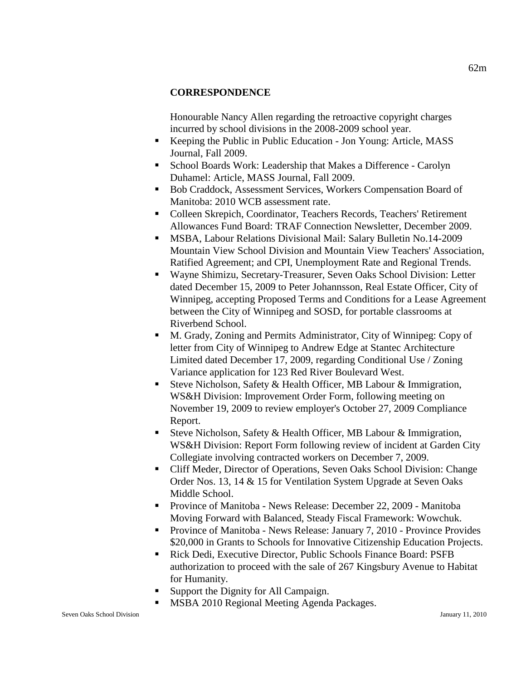### **CORRESPONDENCE**

Honourable Nancy Allen regarding the retroactive copyright charges incurred by school divisions in the 2008-2009 school year.

- Keeping the Public in Public Education Jon Young: Article, MASS Journal, Fall 2009.
- School Boards Work: Leadership that Makes a Difference Carolyn Duhamel: Article, MASS Journal, Fall 2009.
- Bob Craddock, Assessment Services, Workers Compensation Board of Manitoba: 2010 WCB assessment rate.
- Colleen Skrepich, Coordinator, Teachers Records, Teachers' Retirement Allowances Fund Board: TRAF Connection Newsletter, December 2009.
- MSBA, Labour Relations Divisional Mail: Salary Bulletin No.14-2009 Mountain View School Division and Mountain View Teachers' Association, Ratified Agreement; and CPI, Unemployment Rate and Regional Trends.
- Wayne Shimizu, Secretary-Treasurer, Seven Oaks School Division: Letter dated December 15, 2009 to Peter Johannsson, Real Estate Officer, City of Winnipeg, accepting Proposed Terms and Conditions for a Lease Agreement between the City of Winnipeg and SOSD, for portable classrooms at Riverbend School.
- M. Grady, Zoning and Permits Administrator, City of Winnipeg: Copy of letter from City of Winnipeg to Andrew Edge at Stantec Architecture Limited dated December 17, 2009, regarding Conditional Use / Zoning Variance application for 123 Red River Boulevard West.
- Steve Nicholson, Safety & Health Officer, MB Labour & Immigration, WS&H Division: Improvement Order Form, following meeting on November 19, 2009 to review employer's October 27, 2009 Compliance Report.
- Steve Nicholson, Safety & Health Officer, MB Labour & Immigration, WS&H Division: Report Form following review of incident at Garden City Collegiate involving contracted workers on December 7, 2009.
- Cliff Meder, Director of Operations, Seven Oaks School Division: Change Order Nos. 13, 14 & 15 for Ventilation System Upgrade at Seven Oaks Middle School.
- **Province of Manitoba News Release: December 22, 2009 Manitoba** Moving Forward with Balanced, Steady Fiscal Framework: Wowchuk.
- **Province of Manitoba News Release: January 7, 2010 Province Provides** \$20,000 in Grants to Schools for Innovative Citizenship Education Projects.
- Rick Dedi, Executive Director, Public Schools Finance Board: PSFB authorization to proceed with the sale of 267 Kingsbury Avenue to Habitat for Humanity.
- Support the Dignity for All Campaign.
- MSBA 2010 Regional Meeting Agenda Packages.